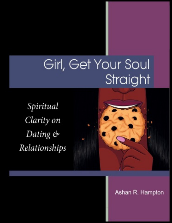# Girl, Get Your Soul Straight

Spiritual Clarity on Dating & Relationships



## Ashan R. Hampton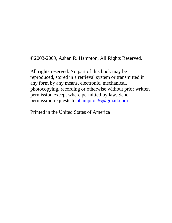©2003-2009, Ashan R. Hampton, All Rights Reserved.

All rights reserved. No part of this book may be reproduced, stored in a retrieval system or transmitted in any form by any means, electronic, mechanical, photocopying, recording or otherwise without prior written permission except where permitted by law. Send permission requests to ahampton36@gmail.com

Printed in the United States of America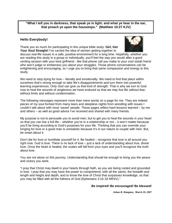**"What I tell you in darkness, that speak ye in light: and what ye hear in the ear, that preach ye upon the housetops." (Matthew 10:27 KJV)**

#### **Hello Everybody!**

Thank you so much for participating in this unique bible study: **Girl, Get Your Soul Straight!** I've carried the idea of women getting together to



discuss real-life issues in a safe, positive environment for a long time. Hopefully, whether you are reading this study in a group or individually, you'll feel the way you would after a good venting session with your best girlfriend - like that phone call you make to your cool sistah friend who won't judge or embarrass you about your struggles. Those phone conversations can be enlightening and encouraging, so I urge you to bring that same compassion and energy to this study.

We need to stop dying for love – literally and emotionally. We need to find that place within ourselves that's strong enough to take life's disappointments and turn them into powerful learning experiences. Only God can give us that kind of strength. That is why we turn to God now to heal the wounds of singleness we have endured so that we may live life without fear, without limits and without condemnation.

The following messages represent more than mere words on a page for me. They are indeed pieces of my soul formed from many tears and sleepless nights from wrestling with issues I couldn't talk about with most 'saved' people. These pages reflect hard lessons learned – by me and others – as well as good advice I've received and shared with many friends.

My purpose is not to persuade you to avoid men, but to get you to heal the wounds in your heart so that you can live a full life – whether you're in a relationship or not – it won't matter because you'll be living according to God's purposes for your life. Thinking that you can override your longing for love or a good man is unrealistic because it's in our nature to couple with men. But, be smart about it.

Don't die for love or humiliate yourself for it. Be healed – recognize that love is all around you right now. God is love. There is no lack of love – just a lack of understanding about true, divine love. Once the heart is healed, the scales will fall from your eyes and you'll recognize the truth about love.

You are not alone on this journey. Understanding that should be enough to bring you the peace and victory you seek.

"I pray that Christ may dwell in your hearts through faith, as you are being rooted and grounded in love. I pray that you may have the power to comprehend, with all the saints, the breadth and length and height and depth, and to know the love of Christ that surpasses knowledge, so that you may be filled with all the fullness of God (Ephesians 3:16-18 NRSV)."

#### **Be inspired! Be encouraged! Be blessed!**

*Ashan R. Hampton, March 20, 2007*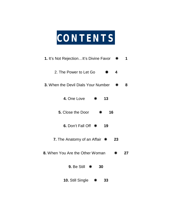

| 1. It's Not RejectionIt's Divine Favor * |     | 1  |
|------------------------------------------|-----|----|
| 2. The Power to Let Go<br>₩              | 4   |    |
| 3. When the Devil Dials Your Number $*$  |     | 8  |
| 4. One Love<br>* 13                      |     |    |
| <b>5.</b> Close the Door<br>$\ast$<br>16 |     |    |
| 6. Don't Fall Off *<br>19                |     |    |
| 7. The Anatomy of an Affair $*$          | 23  |    |
| 8. When You Are the Other Woman          | $*$ | 27 |
| 9. Be Still $*$<br>30                    |     |    |
| 10. Still Single $*$<br>33               |     |    |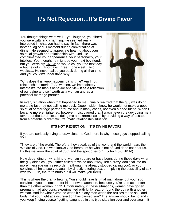## **It's Not Rejection…It's Divine Favor**

You thought things went well – you laughed, you flirted, you were witty and charming. He seemed really interested in what you had to say; in fact, there was never a lag or dull moment during conversation at dinner. He seemed to appreciate hearing about your spiritual growth and relationship with God. He complimented your appearance, your personality, your intellect. You thought he might be your next boyfriend, but you certainly KNEW he would call you the next day – but he didn't. Two days, three… one week…two weeks…. He never called you back during all that time and you couldn't understand why.

"Why does this keep happening? Is it me? Am I not relationship material?" As women, we immediately internalize the man's behavior and view it as a reflection of our value and self-worth as a woman and as a potential marriage partner.



In every situation when that happened to me, I finally realized that the guy was doing me a big favor by not calling me back. Deep inside, I knew he would not make a good spiritual or marriage partner for me and in many cases, not even a good friend! When I became more enlightened, however, I discovered that it wasn't even the guy doing me a favor, but the Lord himself doing me an extreme 'solid' by providing a way of escape from a potentially dramatic, traumatic relationship situation.

#### **IT'S NOT REJECTION…IT'S DIVINE FAVOR!**

If you are seriously trying to draw closer to God, here is why those guys stopped calling you:

"They are of the world. Therefore they speak as of the world and the world hears them. We are of God. He who knows God hears us; he who is not of God does not hear us. By this we know the spirit of truth and the spirit of error" (I John 4:5-6 NKJV).

Now depending on what kind of woman you are or have been, during those days when the guy didn't call, you either called to whine about why, left a crazy 'don't call me no more' message on his recorder; (although he already stopped calling you), or you convinced him to see you again by directly offering sex, or implying the possibility of sex with you. (Oh, the truth hurts but it will make you free!)

This is where the drama begins. You should have left that man alone, but your ego convinced you to compete for his renewed attention, because you're so much better than the other woman, right? Unfortunately, in these situations, women have gotten pregnant, had abortions, experimented with kinky sex, or found the guy with another woman. And for what? Was he worth it? Is any man worth the bruises to the soul and body that your fight against rejection has caused you? The answer should be no and if you keep finding yourself getting caught up in this type situation over and over again, it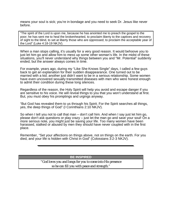means your soul is sick; you're in bondage and you need to seek Dr. Jesus like never before.

"The spirit of the Lord is upon me, because he has anointed me to preach the gospel to the poor; he has sent me to heal the brokenhearted, to proclaim liberty to the captives and recovery of sight to the blind, to set at liberty those who are oppressed; to proclaim the acceptable year of the Lord" (Luke 4:18-19 NKJV).

When a man stops calling, it's usually for a very good reason. It would behoove you to just let him go and allow him to mess up some other woman's life. In the midst of these situations, you'll never understand why things between you and "Mr. Potential" suddenly ended, but the answer always comes in time.

For example, years ago, during my "Like She Knows Single" days, I called a few guys back to get an explanation for their sudden disappearance. One turned out to be married with a kid; another just didn't want to be in a serious relationship. Some women have even uncovered sexually transmitted diseases with men who were honest enough to admit their condition during these long silences.

Regardless of the reason, the Holy Spirit will help you avoid and escape danger if you are sensitive to his voice. He will reveal things to you that you won't understand at first. But, you must obey his promptings and urgings anyway.

"But God has revealed them to us through his Spirit. For the Spirit searches all things, yes, the deep things of God" (I Corinthians 2:10 NKJV).

So when I tell you not to call that man – don't call him. And when I say just let him go, please don't ask questions or play crazy – just let the man go and save your soul! On a more serious note, you might just be saving your life. Too many women have been harassed, stalked or abused by men they should have never coupled with in the first place.

Remember, "Set your affections on things above, not on things on the earth. For you died, and your life is hidden with Christ in God" (Colossians 3:2-3 NKJV).

**BE INSPIRED**

*"God loves you and longs for you to come into His presence so he can fill you with peace and strength."*